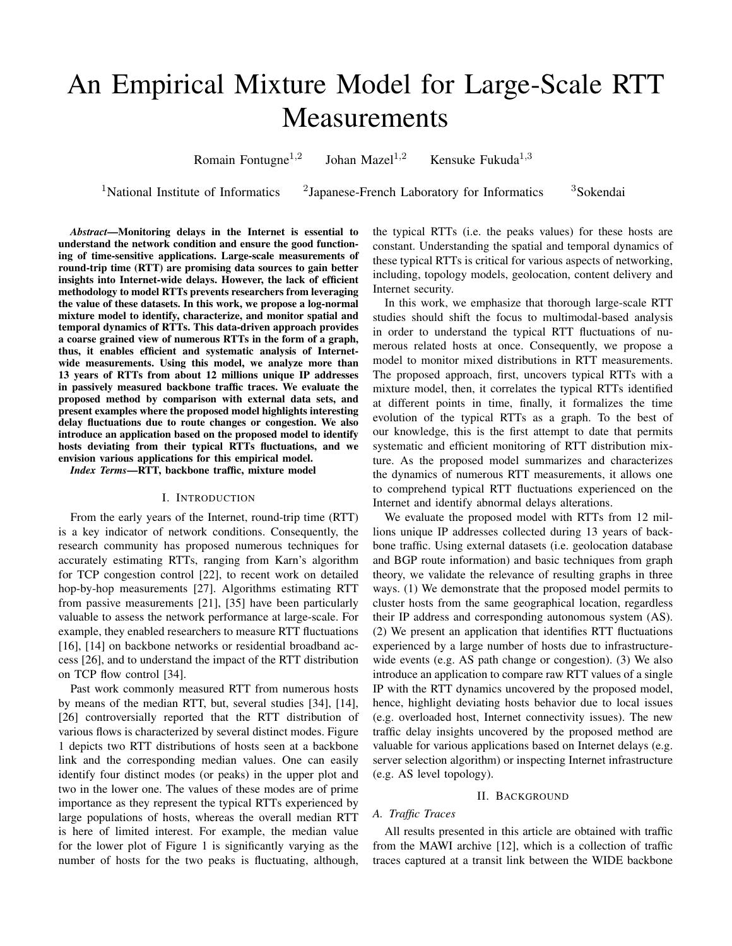# An Empirical Mixture Model for Large-Scale RTT **Measurements**

Romain Fontugne<sup> $1,2$ </sup> Johan Mazel<sup>1,2</sup> Kensuke Fukuda<sup>1,3</sup>

<sup>1</sup>National Institute of Informatics

 ${}^{2}$ Japanese-French Laboratory for Informatics  ${}^{3}$ Sokendai

*Abstract*—Monitoring delays in the Internet is essential to understand the network condition and ensure the good functioning of time-sensitive applications. Large-scale measurements of round-trip time (RTT) are promising data sources to gain better insights into Internet-wide delays. However, the lack of efficient methodology to model RTTs prevents researchers from leveraging the value of these datasets. In this work, we propose a log-normal mixture model to identify, characterize, and monitor spatial and temporal dynamics of RTTs. This data-driven approach provides a coarse grained view of numerous RTTs in the form of a graph, thus, it enables efficient and systematic analysis of Internetwide measurements. Using this model, we analyze more than 13 years of RTTs from about 12 millions unique IP addresses in passively measured backbone traffic traces. We evaluate the proposed method by comparison with external data sets, and present examples where the proposed model highlights interesting delay fluctuations due to route changes or congestion. We also introduce an application based on the proposed model to identify hosts deviating from their typical RTTs fluctuations, and we envision various applications for this empirical model.

*Index Terms*—RTT, backbone traffic, mixture model

## I. INTRODUCTION

From the early years of the Internet, round-trip time (RTT) is a key indicator of network conditions. Consequently, the research community has proposed numerous techniques for accurately estimating RTTs, ranging from Karn's algorithm for TCP congestion control [22], to recent work on detailed hop-by-hop measurements [27]. Algorithms estimating RTT from passive measurements [21], [35] have been particularly valuable to assess the network performance at large-scale. For example, they enabled researchers to measure RTT fluctuations [16], [14] on backbone networks or residential broadband access [26], and to understand the impact of the RTT distribution on TCP flow control [34].

Past work commonly measured RTT from numerous hosts by means of the median RTT, but, several studies [34], [14], [26] controversially reported that the RTT distribution of various flows is characterized by several distinct modes. Figure 1 depicts two RTT distributions of hosts seen at a backbone link and the corresponding median values. One can easily identify four distinct modes (or peaks) in the upper plot and two in the lower one. The values of these modes are of prime importance as they represent the typical RTTs experienced by large populations of hosts, whereas the overall median RTT is here of limited interest. For example, the median value for the lower plot of Figure 1 is significantly varying as the number of hosts for the two peaks is fluctuating, although, the typical RTTs (i.e. the peaks values) for these hosts are constant. Understanding the spatial and temporal dynamics of these typical RTTs is critical for various aspects of networking, including, topology models, geolocation, content delivery and Internet security.

In this work, we emphasize that thorough large-scale RTT studies should shift the focus to multimodal-based analysis in order to understand the typical RTT fluctuations of numerous related hosts at once. Consequently, we propose a model to monitor mixed distributions in RTT measurements. The proposed approach, first, uncovers typical RTTs with a mixture model, then, it correlates the typical RTTs identified at different points in time, finally, it formalizes the time evolution of the typical RTTs as a graph. To the best of our knowledge, this is the first attempt to date that permits systematic and efficient monitoring of RTT distribution mixture. As the proposed model summarizes and characterizes the dynamics of numerous RTT measurements, it allows one to comprehend typical RTT fluctuations experienced on the Internet and identify abnormal delays alterations.

We evaluate the proposed model with RTTs from 12 millions unique IP addresses collected during 13 years of backbone traffic. Using external datasets (i.e. geolocation database and BGP route information) and basic techniques from graph theory, we validate the relevance of resulting graphs in three ways. (1) We demonstrate that the proposed model permits to cluster hosts from the same geographical location, regardless their IP address and corresponding autonomous system (AS). (2) We present an application that identifies RTT fluctuations experienced by a large number of hosts due to infrastructurewide events (e.g. AS path change or congestion). (3) We also introduce an application to compare raw RTT values of a single IP with the RTT dynamics uncovered by the proposed model, hence, highlight deviating hosts behavior due to local issues (e.g. overloaded host, Internet connectivity issues). The new traffic delay insights uncovered by the proposed method are valuable for various applications based on Internet delays (e.g. server selection algorithm) or inspecting Internet infrastructure (e.g. AS level topology).

#### II. BACKGROUND

# *A. Traffic Traces*

All results presented in this article are obtained with traffic from the MAWI archive [12], which is a collection of traffic traces captured at a transit link between the WIDE backbone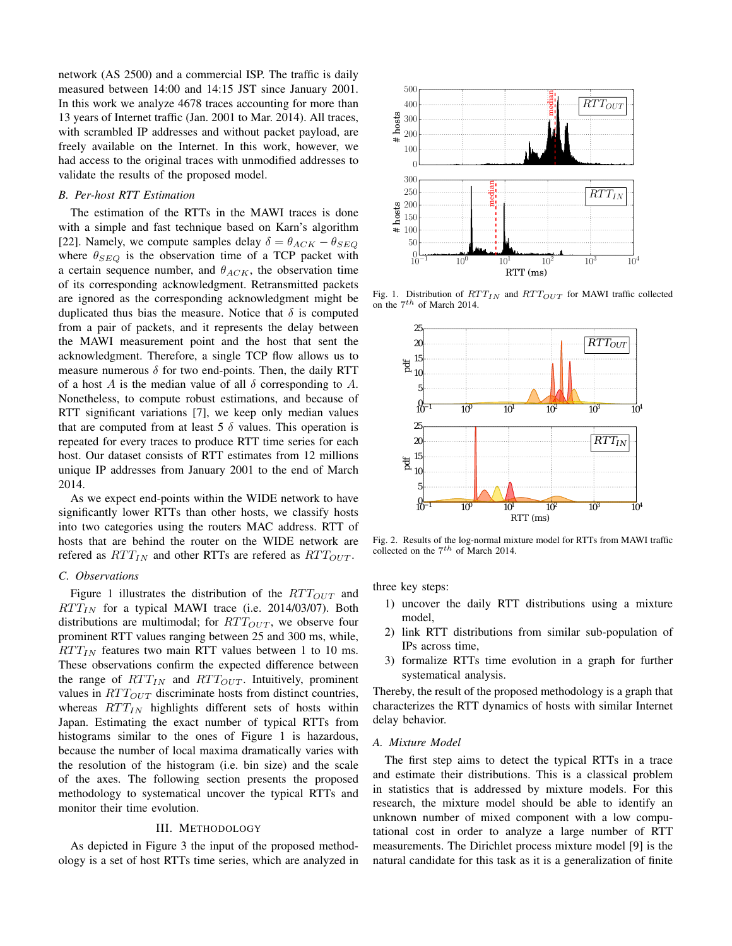network (AS 2500) and a commercial ISP. The traffic is daily measured between 14:00 and 14:15 JST since January 2001. In this work we analyze 4678 traces accounting for more than 13 years of Internet traffic (Jan. 2001 to Mar. 2014). All traces, with scrambled IP addresses and without packet payload, are freely available on the Internet. In this work, however, we had access to the original traces with unmodified addresses to validate the results of the proposed model.

# *B. Per-host RTT Estimation*

The estimation of the RTTs in the MAWI traces is done with a simple and fast technique based on Karn's algorithm [22]. Namely, we compute samples delay  $\delta = \theta_{ACK} - \theta_{SEO}$ where  $\theta_{SEQ}$  is the observation time of a TCP packet with a certain sequence number, and  $\theta_{ACK}$ , the observation time of its corresponding acknowledgment. Retransmitted packets are ignored as the corresponding acknowledgment might be duplicated thus bias the measure. Notice that  $\delta$  is computed from a pair of packets, and it represents the delay between the MAWI measurement point and the host that sent the acknowledgment. Therefore, a single TCP flow allows us to measure numerous  $\delta$  for two end-points. Then, the daily RTT of a host A is the median value of all  $\delta$  corresponding to A. Nonetheless, to compute robust estimations, and because of RTT significant variations [7], we keep only median values that are computed from at least 5  $\delta$  values. This operation is repeated for every traces to produce RTT time series for each host. Our dataset consists of RTT estimates from 12 millions unique IP addresses from January 2001 to the end of March 2014.

As we expect end-points within the WIDE network to have significantly lower RTTs than other hosts, we classify hosts into two categories using the routers MAC address. RTT of hosts that are behind the router on the WIDE network are refered as  $RTT_{IN}$  and other RTTs are refered as  $RTT_{OUT}$ .

#### *C. Observations*

Figure 1 illustrates the distribution of the  $RTT_{OUT}$  and  $RTT_{IN}$  for a typical MAWI trace (i.e. 2014/03/07). Both distributions are multimodal; for  $RTT_{OUT}$ , we observe four prominent RTT values ranging between 25 and 300 ms, while,  $RTT_{IN}$  features two main RTT values between 1 to 10 ms. These observations confirm the expected difference between the range of  $RTT_{IN}$  and  $RTT_{OUT}$ . Intuitively, prominent values in  $RTT_{OUT}$  discriminate hosts from distinct countries, whereas  $RTT_{IN}$  highlights different sets of hosts within Japan. Estimating the exact number of typical RTTs from histograms similar to the ones of Figure 1 is hazardous, because the number of local maxima dramatically varies with the resolution of the histogram (i.e. bin size) and the scale of the axes. The following section presents the proposed methodology to systematical uncover the typical RTTs and monitor their time evolution.

#### III. METHODOLOGY

As depicted in Figure 3 the input of the proposed methodology is a set of host RTTs time series, which are analyzed in



Fig. 1. Distribution of  $RTT_{IN}$  and  $RTT_{OUT}$  for MAWI traffic collected on the  $7^{th}$  of March 2014.



Fig. 2. Results of the log-normal mixture model for RTTs from MAWI traffic collected on the  $7<sup>th</sup>$  of March 2014.

three key steps:

- 1) uncover the daily RTT distributions using a mixture model,
- 2) link RTT distributions from similar sub-population of IPs across time,
- 3) formalize RTTs time evolution in a graph for further systematical analysis.

Thereby, the result of the proposed methodology is a graph that characterizes the RTT dynamics of hosts with similar Internet delay behavior.

## *A. Mixture Model*

The first step aims to detect the typical RTTs in a trace and estimate their distributions. This is a classical problem in statistics that is addressed by mixture models. For this research, the mixture model should be able to identify an unknown number of mixed component with a low computational cost in order to analyze a large number of RTT measurements. The Dirichlet process mixture model [9] is the natural candidate for this task as it is a generalization of finite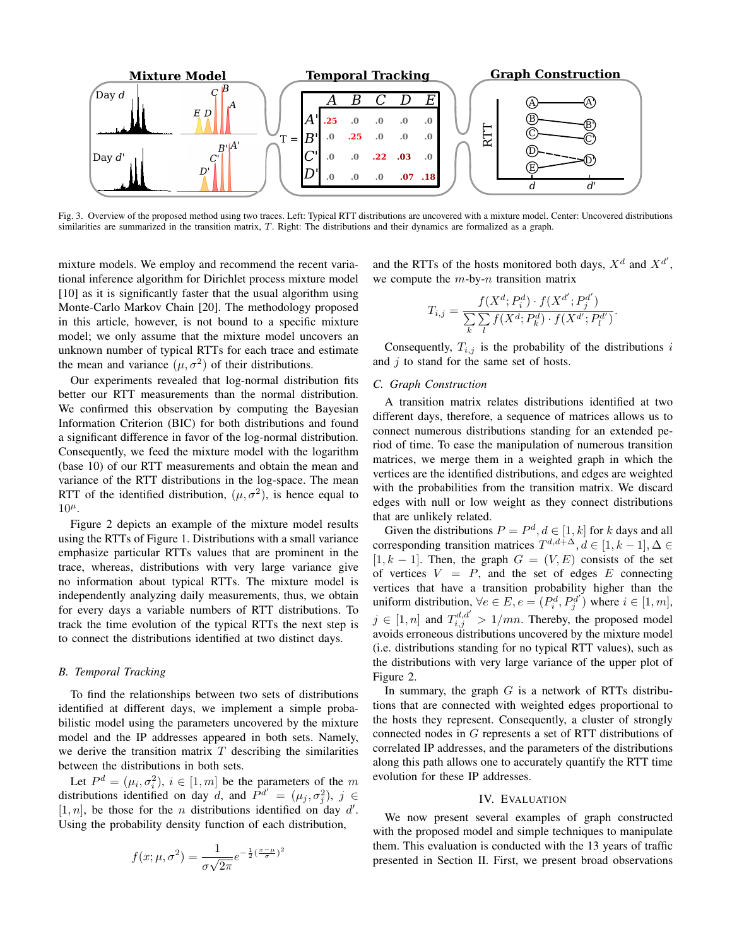

Fig. 3. Overview of the proposed method using two traces. Left: Typical RTT distributions are uncovered with a mixture model. Center: Uncovered distributions similarities are summarized in the transition matrix, T. Right: The distributions and their dynamics are formalized as a graph.

mixture models. We employ and recommend the recent variational inference algorithm for Dirichlet process mixture model [10] as it is significantly faster that the usual algorithm using Monte-Carlo Markov Chain [20]. The methodology proposed in this article, however, is not bound to a specific mixture model; we only assume that the mixture model uncovers an unknown number of typical RTTs for each trace and estimate the mean and variance  $(\mu, \sigma^2)$  of their distributions.

Our experiments revealed that log-normal distribution fits better our RTT measurements than the normal distribution. We confirmed this observation by computing the Bayesian Information Criterion (BIC) for both distributions and found a significant difference in favor of the log-normal distribution. Consequently, we feed the mixture model with the logarithm (base 10) of our RTT measurements and obtain the mean and variance of the RTT distributions in the log-space. The mean RTT of the identified distribution,  $(\mu, \sigma^2)$ , is hence equal to  $10<sup>\mu</sup>$ .

Figure 2 depicts an example of the mixture model results using the RTTs of Figure 1. Distributions with a small variance emphasize particular RTTs values that are prominent in the trace, whereas, distributions with very large variance give no information about typical RTTs. The mixture model is independently analyzing daily measurements, thus, we obtain for every days a variable numbers of RTT distributions. To track the time evolution of the typical RTTs the next step is to connect the distributions identified at two distinct days.

# *B. Temporal Tracking*

To find the relationships between two sets of distributions identified at different days, we implement a simple probabilistic model using the parameters uncovered by the mixture model and the IP addresses appeared in both sets. Namely, we derive the transition matrix  $T$  describing the similarities between the distributions in both sets.

Let  $P^d = (\mu_i, \sigma_i^2), i \in [1, m]$  be the parameters of the m distributions identified on day d, and  $P^{d'} = (\mu_j, \sigma_j^2), j \in$  $[1, n]$ , be those for the *n* distributions identified on day d'. Using the probability density function of each distribution,

$$
f(x; \mu, \sigma^2) = \frac{1}{\sigma\sqrt{2\pi}}e^{-\frac{1}{2}(\frac{x-\mu}{\sigma})^2}
$$

and the RTTs of the hosts monitored both days,  $X^d$  and  $X^{d'}$ , we compute the  $m$ -by- $n$  transition matrix

$$
T_{i,j} = \frac{f(X^d; P_i^d) \cdot f(X^{d'}; P_j^{d'})}{\sum_{k} \sum_{l} f(X^d; P_k^d) \cdot f(X^{d'}; P_l^{d'})}
$$

.

Consequently,  $T_{i,j}$  is the probability of the distributions i and  $j$  to stand for the same set of hosts.

## *C. Graph Construction*

A transition matrix relates distributions identified at two different days, therefore, a sequence of matrices allows us to connect numerous distributions standing for an extended period of time. To ease the manipulation of numerous transition matrices, we merge them in a weighted graph in which the vertices are the identified distributions, and edges are weighted with the probabilities from the transition matrix. We discard edges with null or low weight as they connect distributions that are unlikely related.

Given the distributions  $P = P^d, d \in [1, k]$  for k days and all corresponding transition matrices  $T^{d,d+\Delta}$ ,  $d \in [1, k-1]$ ,  $\Delta \in$  $[1, k - 1]$ . Then, the graph  $G = (V, E)$  consists of the set of vertices  $V = P$ , and the set of edges E connecting vertices that have a transition probability higher than the uniform distribution,  $\forall e \in E, e = (P_i^d, P_j^{d'})$  where  $i \in [1, m]$ ,  $j \in [1, n]$  and  $T_{i,j}^{d,d'} > 1/mn$ . Thereby, the proposed model avoids erroneous distributions uncovered by the mixture model (i.e. distributions standing for no typical RTT values), such as the distributions with very large variance of the upper plot of Figure 2.

In summary, the graph  $G$  is a network of RTTs distributions that are connected with weighted edges proportional to the hosts they represent. Consequently, a cluster of strongly connected nodes in G represents a set of RTT distributions of correlated IP addresses, and the parameters of the distributions along this path allows one to accurately quantify the RTT time evolution for these IP addresses.

# IV. EVALUATION

We now present several examples of graph constructed with the proposed model and simple techniques to manipulate them. This evaluation is conducted with the 13 years of traffic presented in Section II. First, we present broad observations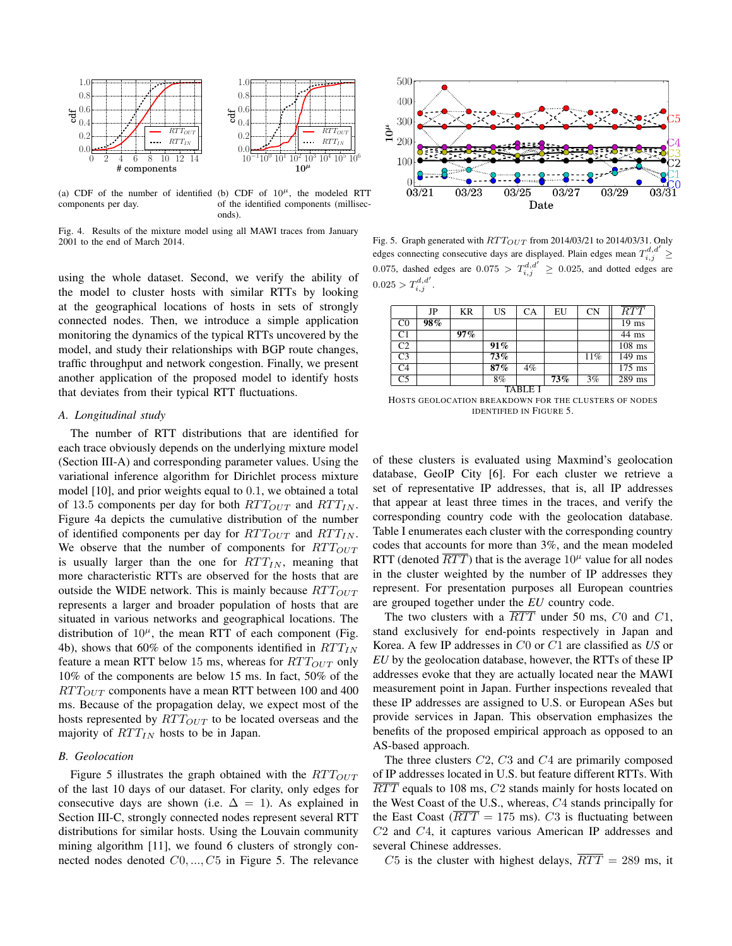

components per day.

(a) CDF of the number of identified (b) CDF of  $10^{\mu}$ , the modeled RTT of the identified components (milliseconds).

Fig. 4. Results of the mixture model using all MAWI traces from January 2001 to the end of March 2014.

using the whole dataset. Second, we verify the ability of the model to cluster hosts with similar RTTs by looking at the geographical locations of hosts in sets of strongly connected nodes. Then, we introduce a simple application monitoring the dynamics of the typical RTTs uncovered by the model, and study their relationships with BGP route changes, traffic throughput and network congestion. Finally, we present another application of the proposed model to identify hosts that deviates from their typical RTT fluctuations.

# *A. Longitudinal study*

The number of RTT distributions that are identified for each trace obviously depends on the underlying mixture model (Section III-A) and corresponding parameter values. Using the variational inference algorithm for Dirichlet process mixture model [10], and prior weights equal to 0.1, we obtained a total of 13.5 components per day for both  $RTT_{OUT}$  and  $RTT_{IN}$ . Figure 4a depicts the cumulative distribution of the number of identified components per day for  $RTT_{OUT}$  and  $RTT_{IN}$ . We observe that the number of components for  $RTT_{OUT}$ is usually larger than the one for  $RTT_{IN}$ , meaning that more characteristic RTTs are observed for the hosts that are outside the WIDE network. This is mainly because  $RTT_{OUT}$ represents a larger and broader population of hosts that are situated in various networks and geographical locations. The distribution of  $10^{\mu}$ , the mean RTT of each component (Fig. 4b), shows that 60% of the components identified in  $RTT_{IN}$ feature a mean RTT below 15 ms, whereas for  $RTT_{OUT}$  only 10% of the components are below 15 ms. In fact, 50% of the  $RTT_{OUT}$  components have a mean RTT between 100 and 400 ms. Because of the propagation delay, we expect most of the hosts represented by  $RTT_{OUT}$  to be located overseas and the majority of  $RTT_{IN}$  hosts to be in Japan.

# *B. Geolocation*

Figure 5 illustrates the graph obtained with the  $RTT_{OUT}$ of the last 10 days of our dataset. For clarity, only edges for consecutive days are shown (i.e.  $\Delta = 1$ ). As explained in Section III-C, strongly connected nodes represent several RTT distributions for similar hosts. Using the Louvain community mining algorithm [11], we found 6 clusters of strongly connected nodes denoted  $C_0, ..., C_5$  in Figure 5. The relevance



Fig. 5. Graph generated with  $RTT_{OUT}$  from 2014/03/21 to 2014/03/31. Only edges connecting consecutive days are displayed. Plain edges mean  $T_{i,j}^{d,d'} \geq$ 0.075, dashed edges are  $0.075 > T_{i,j}^{d,d'} \ge 0.025$ , and dotted edges are  $0.025 > T_{i,j}^{d,d'}$ .

|                | JP  | KR  | US  | CA    | EU  | <b>CN</b> | RTT                 |
|----------------|-----|-----|-----|-------|-----|-----------|---------------------|
| C0             | 98% |     |     |       |     |           | $19$ ms             |
| C1             |     | 97% |     |       |     |           | 44 ms               |
| C <sub>2</sub> |     |     | 91% |       |     |           | $108$ ms            |
| C3             |     |     | 73% |       |     | 11%       | 149 ms              |
| C <sub>4</sub> |     |     | 87% | $4\%$ |     |           | $\overline{175}$ ms |
| C <sub>5</sub> |     |     | 8%  |       | 73% | 3%        | 289 ms              |
|                |     |     |     |       |     |           |                     |

HOSTS GEOLOCATION BREAKDOWN FOR THE CLUSTERS OF NODES IDENTIFIED IN FIGURE 5.

of these clusters is evaluated using Maxmind's geolocation database, GeoIP City [6]. For each cluster we retrieve a set of representative IP addresses, that is, all IP addresses that appear at least three times in the traces, and verify the corresponding country code with the geolocation database. Table I enumerates each cluster with the corresponding country codes that accounts for more than 3%, and the mean modeled RTT (denoted  $\overline{RTT}$ ) that is the average  $10^{\mu}$  value for all nodes in the cluster weighted by the number of IP addresses they represent. For presentation purposes all European countries are grouped together under the *EU* country code.

The two clusters with a  $\overline{RTT}$  under 50 ms,  $C0$  and  $C1$ , stand exclusively for end-points respectively in Japan and Korea. A few IP addresses in C0 or C1 are classified as *US* or *EU* by the geolocation database, however, the RTTs of these IP addresses evoke that they are actually located near the MAWI measurement point in Japan. Further inspections revealed that these IP addresses are assigned to U.S. or European ASes but provide services in Japan. This observation emphasizes the benefits of the proposed empirical approach as opposed to an AS-based approach.

The three clusters C2, C3 and C4 are primarily composed of IP addresses located in U.S. but feature different RTTs. With  $\overline{RTT}$  equals to 108 ms,  $C2$  stands mainly for hosts located on the West Coast of the U.S., whereas, C4 stands principally for the East Coast ( $\overline{RTT} = 175$  ms). C3 is fluctuating between C2 and C4, it captures various American IP addresses and several Chinese addresses.

C5 is the cluster with highest delays,  $\overline{RTT} = 289$  ms, it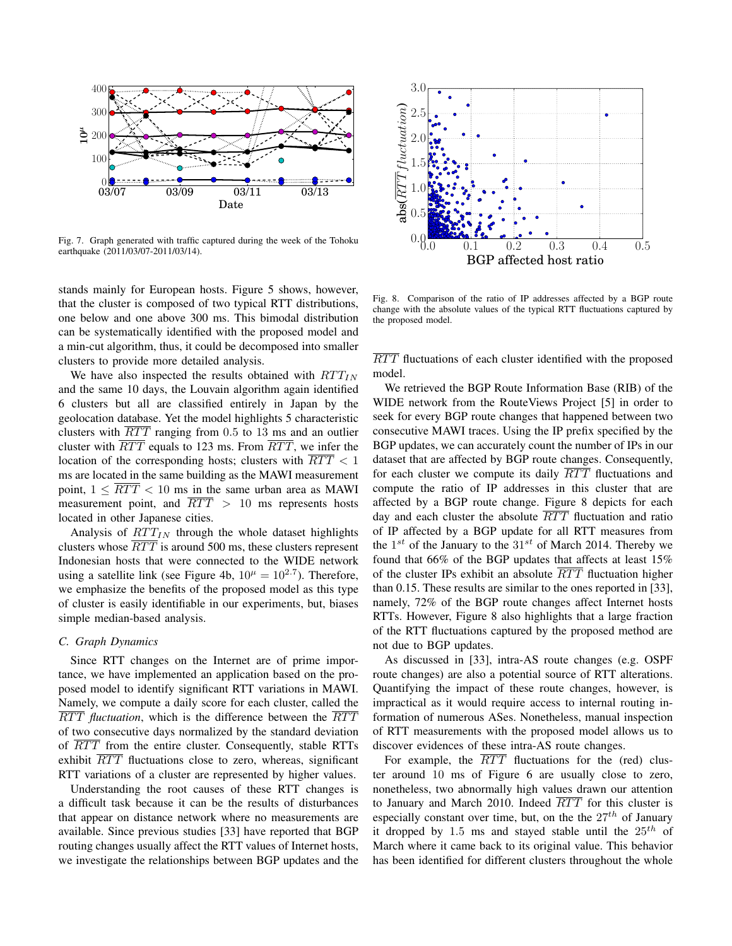

Fig. 7. Graph generated with traffic captured during the week of the Tohoku earthquake (2011/03/07-2011/03/14).

stands mainly for European hosts. Figure 5 shows, however, that the cluster is composed of two typical RTT distributions, one below and one above 300 ms. This bimodal distribution can be systematically identified with the proposed model and a min-cut algorithm, thus, it could be decomposed into smaller clusters to provide more detailed analysis.

We have also inspected the results obtained with  $RTT_{IN}$ and the same 10 days, the Louvain algorithm again identified 6 clusters but all are classified entirely in Japan by the geolocation database. Yet the model highlights 5 characteristic clusters with  $\overline{RTT}$  ranging from 0.5 to 13 ms and an outlier cluster with  $\overline{RTT}$  equals to 123 ms. From  $\overline{RTT}$ , we infer the location of the corresponding hosts; clusters with  $\overline{RTT}$  < 1 ms are located in the same building as the MAWI measurement point,  $1 \leq \overline{RTT} < 10$  ms in the same urban area as MAWI measurement point, and  $RTT > 10$  ms represents hosts located in other Japanese cities.

Analysis of  $RTT_{IN}$  through the whole dataset highlights clusters whose  $\overline{RTT}$  is around 500 ms, these clusters represent Indonesian hosts that were connected to the WIDE network using a satellite link (see Figure 4b,  $10^{\mu} = 10^{2.7}$ ). Therefore, we emphasize the benefits of the proposed model as this type of cluster is easily identifiable in our experiments, but, biases simple median-based analysis.

# *C. Graph Dynamics*

Since RTT changes on the Internet are of prime importance, we have implemented an application based on the proposed model to identify significant RTT variations in MAWI. Namely, we compute a daily score for each cluster, called the  $\overline{RTT}$  *fluctuation*, which is the difference between the  $\overline{RTT}$ of two consecutive days normalized by the standard deviation of  $\overline{RTT}$  from the entire cluster. Consequently, stable RTTs exhibit  $\overline{RTT}$  fluctuations close to zero, whereas, significant RTT variations of a cluster are represented by higher values.

Understanding the root causes of these RTT changes is a difficult task because it can be the results of disturbances that appear on distance network where no measurements are available. Since previous studies [33] have reported that BGP routing changes usually affect the RTT values of Internet hosts,



Fig. 8. Comparison of the ratio of IP addresses affected by a BGP route change with the absolute values of the typical RTT fluctuations captured by the proposed model.

RTT fluctuations of each cluster identified with the proposed model.

we investigate the relationships between BGP updates and the 0.0 0.1 0.2 0.3 0.4 0.5 We retrieved the BGP Route Information Base (RIB) of the WIDE network from the RouteViews Project [5] in order to seek for every BGP route changes that happened between two consecutive MAWI traces. Using the IP prefix specified by the BGP updates, we can accurately count the number of IPs in our dataset that are affected by BGP route changes. Consequently, for each cluster we compute its daily  $\overline{RTT}$  fluctuations and compute the ratio of IP addresses in this cluster that are affected by a BGP route change. Figure 8 depicts for each day and each cluster the absolute  $\overline{RTT}$  fluctuation and ratio of IP affected by a BGP update for all RTT measures from the  $1^{st}$  of the January to the  $31^{st}$  of March 2014. Thereby we found that 66% of the BGP updates that affects at least 15% of the cluster IPs exhibit an absolute  $\overline{RTT}$  fluctuation higher than 0.15. These results are similar to the ones reported in [33], namely, 72% of the BGP route changes affect Internet hosts RTTs. However, Figure 8 also highlights that a large fraction of the RTT fluctuations captured by the proposed method are not due to BGP updates.

As discussed in [33], intra-AS route changes (e.g. OSPF route changes) are also a potential source of RTT alterations. Quantifying the impact of these route changes, however, is impractical as it would require access to internal routing information of numerous ASes. Nonetheless, manual inspection of RTT measurements with the proposed model allows us to discover evidences of these intra-AS route changes.

For example, the  $\overline{RTT}$  fluctuations for the (red) cluster around 10 ms of Figure 6 are usually close to zero, nonetheless, two abnormally high values drawn our attention to January and March 2010. Indeed  $\overline{RTT}$  for this cluster is especially constant over time, but, on the the  $27<sup>th</sup>$  of January it dropped by 1.5 ms and stayed stable until the  $25<sup>th</sup>$  of March where it came back to its original value. This behavior has been identified for different clusters throughout the whole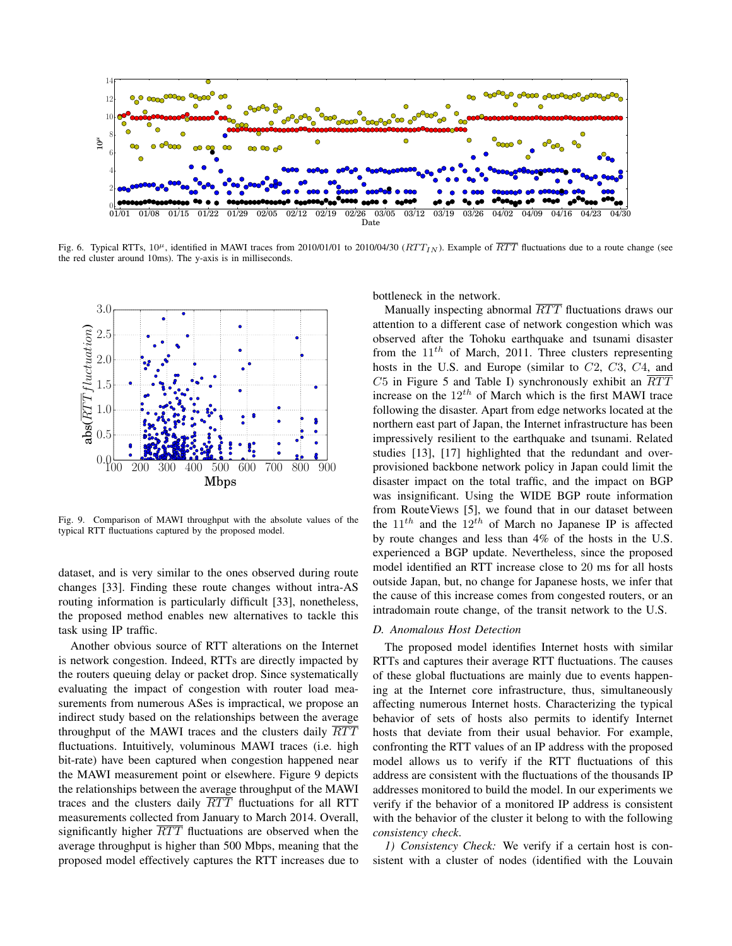

Fig. 6. Typical RTTs,  $10^{\mu}$ , identified in MAWI traces from 2010/01/01 to 2010/04/30 ( $RTT_{IN}$ ). Example of  $\overline{RTT}$  fluctuations due to a route change (see the red cluster around 10ms). The y-axis is in milliseconds.



Fig. 9. Comparison of MAWI throughput with the absolute values of the typical RTT fluctuations captured by the proposed model.

dataset, and is very similar to the ones observed during route changes [33]. Finding these route changes without intra-AS routing information is particularly difficult [33], nonetheless, the proposed method enables new alternatives to tackle this task using IP traffic.

Another obvious source of RTT alterations on the Internet is network congestion. Indeed, RTTs are directly impacted by the routers queuing delay or packet drop. Since systematically evaluating the impact of congestion with router load measurements from numerous ASes is impractical, we propose an indirect study based on the relationships between the average throughput of the MAWI traces and the clusters daily  $\overline{RTT}$ fluctuations. Intuitively, voluminous MAWI traces (i.e. high bit-rate) have been captured when congestion happened near the MAWI measurement point or elsewhere. Figure 9 depicts the relationships between the average throughput of the MAWI traces and the clusters daily  $\overline{RTT}$  fluctuations for all RTT measurements collected from January to March 2014. Overall, significantly higher  $\overline{RTT}$  fluctuations are observed when the average throughput is higher than 500 Mbps, meaning that the proposed model effectively captures the RTT increases due to bottleneck in the network.

Manually inspecting abnormal  $\overline{RTT}$  fluctuations draws our attention to a different case of network congestion which was observed after the Tohoku earthquake and tsunami disaster from the  $11^{th}$  of March, 2011. Three clusters representing hosts in the U.S. and Europe (similar to C2, C3, C4, and  $C5$  in Figure 5 and Table I) synchronously exhibit an  $\overline{RTT}$ increase on the  $12^{th}$  of March which is the first MAWI trace following the disaster. Apart from edge networks located at the northern east part of Japan, the Internet infrastructure has been impressively resilient to the earthquake and tsunami. Related studies [13], [17] highlighted that the redundant and overprovisioned backbone network policy in Japan could limit the disaster impact on the total traffic, and the impact on BGP was insignificant. Using the WIDE BGP route information from RouteViews [5], we found that in our dataset between the  $11^{th}$  and the  $12^{th}$  of March no Japanese IP is affected by route changes and less than 4% of the hosts in the U.S. experienced a BGP update. Nevertheless, since the proposed model identified an RTT increase close to 20 ms for all hosts outside Japan, but, no change for Japanese hosts, we infer that the cause of this increase comes from congested routers, or an intradomain route change, of the transit network to the U.S.

## *D. Anomalous Host Detection*

The proposed model identifies Internet hosts with similar RTTs and captures their average RTT fluctuations. The causes of these global fluctuations are mainly due to events happening at the Internet core infrastructure, thus, simultaneously affecting numerous Internet hosts. Characterizing the typical behavior of sets of hosts also permits to identify Internet hosts that deviate from their usual behavior. For example, confronting the RTT values of an IP address with the proposed model allows us to verify if the RTT fluctuations of this address are consistent with the fluctuations of the thousands IP addresses monitored to build the model. In our experiments we verify if the behavior of a monitored IP address is consistent with the behavior of the cluster it belong to with the following *consistency check*.

*1) Consistency Check:* We verify if a certain host is consistent with a cluster of nodes (identified with the Louvain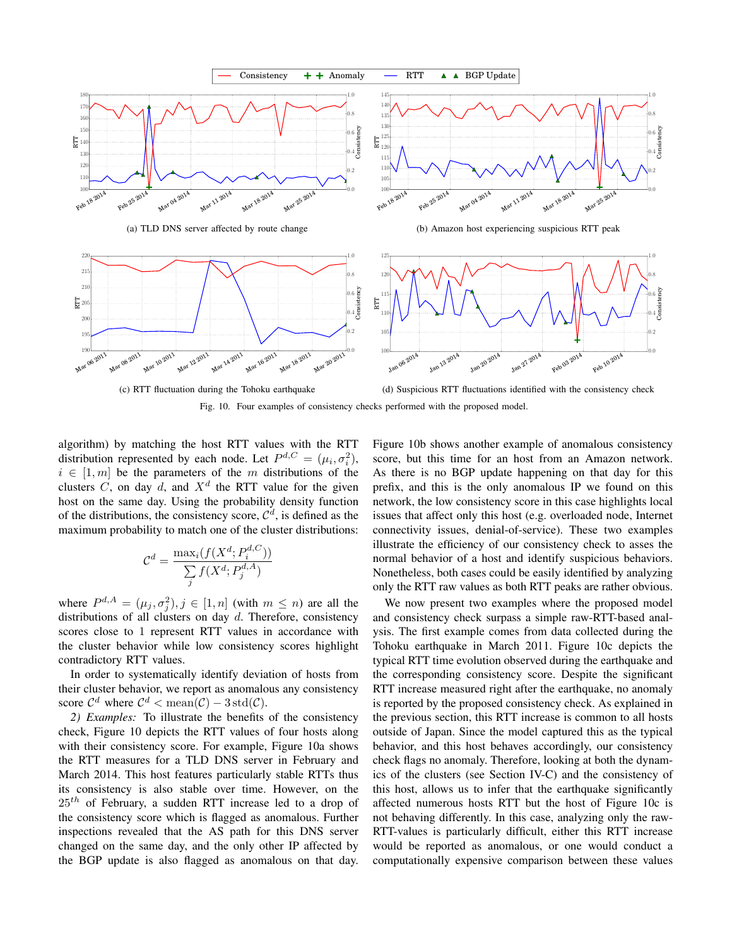

Fig. 10. Four examples of consistency checks performed with the proposed model.

algorithm) by matching the host RTT values with the RTT distribution represented by each node. Let  $P^{d,C} = (\mu_i, \sigma_i^2)$ ,  $i \in [1, m]$  be the parameters of the m distributions of the clusters C, on day d, and  $X^d$  the RTT value for the given host on the same day. Using the probability density function of the distributions, the consistency score,  $\mathcal{C}^d$ , is defined as the maximum probability to match one of the cluster distributions:

$$
\mathcal{C}^d = \frac{\max_i(f(X^d; P_i^{d,C}))}{\sum_j f(X^d; P_j^{d,A})}
$$

where  $P^{d,A} = (\mu_j, \sigma_j^2), j \in [1, n]$  (with  $m \leq n$ ) are all the distributions of all clusters on day  $d$ . Therefore, consistency scores close to 1 represent RTT values in accordance with the cluster behavior while low consistency scores highlight contradictory RTT values.

In order to systematically identify deviation of hosts from their cluster behavior, we report as anomalous any consistency score  $C^d$  where  $C^d$  < mean( $C$ ) – 3 std( $C$ ).

*2) Examples:* To illustrate the benefits of the consistency check, Figure 10 depicts the RTT values of four hosts along with their consistency score. For example, Figure 10a shows the RTT measures for a TLD DNS server in February and March 2014. This host features particularly stable RTTs thus its consistency is also stable over time. However, on the  $25<sup>th</sup>$  of February, a sudden RTT increase led to a drop of the consistency score which is flagged as anomalous. Further inspections revealed that the AS path for this DNS server changed on the same day, and the only other IP affected by the BGP update is also flagged as anomalous on that day. Figure 10b shows another example of anomalous consistency score, but this time for an host from an Amazon network. As there is no BGP update happening on that day for this prefix, and this is the only anomalous IP we found on this network, the low consistency score in this case highlights local issues that affect only this host (e.g. overloaded node, Internet connectivity issues, denial-of-service). These two examples illustrate the efficiency of our consistency check to asses the normal behavior of a host and identify suspicious behaviors. Nonetheless, both cases could be easily identified by analyzing only the RTT raw values as both RTT peaks are rather obvious.

We now present two examples where the proposed model and consistency check surpass a simple raw-RTT-based analysis. The first example comes from data collected during the Tohoku earthquake in March 2011. Figure 10c depicts the typical RTT time evolution observed during the earthquake and the corresponding consistency score. Despite the significant RTT increase measured right after the earthquake, no anomaly is reported by the proposed consistency check. As explained in the previous section, this RTT increase is common to all hosts outside of Japan. Since the model captured this as the typical behavior, and this host behaves accordingly, our consistency check flags no anomaly. Therefore, looking at both the dynamics of the clusters (see Section IV-C) and the consistency of this host, allows us to infer that the earthquake significantly affected numerous hosts RTT but the host of Figure 10c is not behaving differently. In this case, analyzing only the raw-RTT-values is particularly difficult, either this RTT increase would be reported as anomalous, or one would conduct a computationally expensive comparison between these values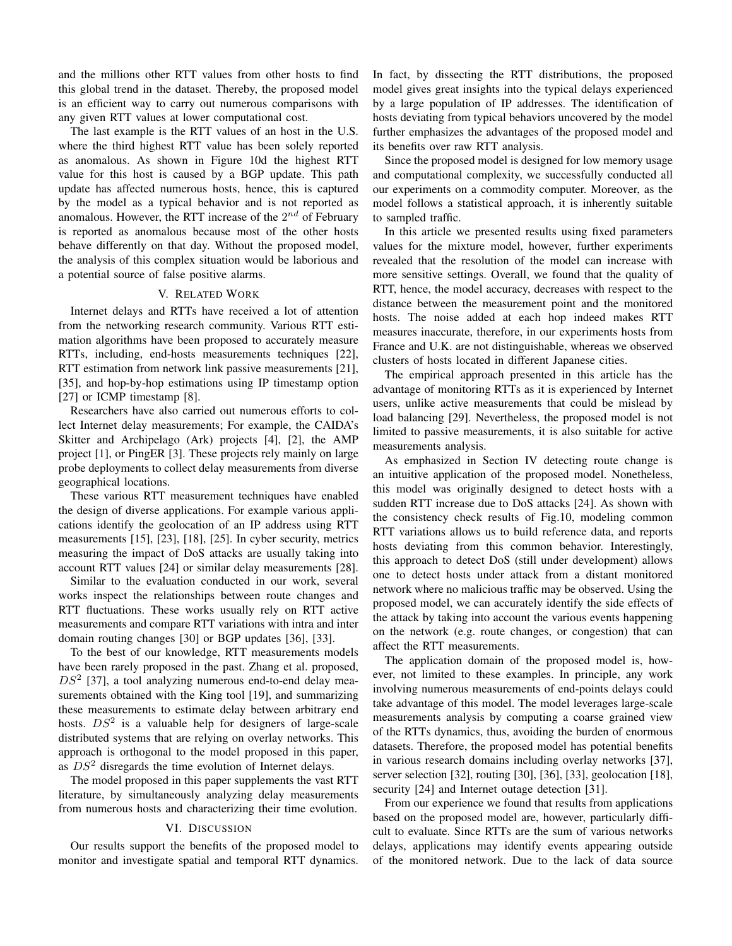and the millions other RTT values from other hosts to find this global trend in the dataset. Thereby, the proposed model is an efficient way to carry out numerous comparisons with any given RTT values at lower computational cost.

The last example is the RTT values of an host in the U.S. where the third highest RTT value has been solely reported as anomalous. As shown in Figure 10d the highest RTT value for this host is caused by a BGP update. This path update has affected numerous hosts, hence, this is captured by the model as a typical behavior and is not reported as anomalous. However, the RTT increase of the  $2^{nd}$  of February is reported as anomalous because most of the other hosts behave differently on that day. Without the proposed model, the analysis of this complex situation would be laborious and a potential source of false positive alarms.

# V. RELATED WORK

Internet delays and RTTs have received a lot of attention from the networking research community. Various RTT estimation algorithms have been proposed to accurately measure RTTs, including, end-hosts measurements techniques [22], RTT estimation from network link passive measurements [21], [35], and hop-by-hop estimations using IP timestamp option [27] or ICMP timestamp [8].

Researchers have also carried out numerous efforts to collect Internet delay measurements; For example, the CAIDA's Skitter and Archipelago (Ark) projects [4], [2], the AMP project [1], or PingER [3]. These projects rely mainly on large probe deployments to collect delay measurements from diverse geographical locations.

These various RTT measurement techniques have enabled the design of diverse applications. For example various applications identify the geolocation of an IP address using RTT measurements [15], [23], [18], [25]. In cyber security, metrics measuring the impact of DoS attacks are usually taking into account RTT values [24] or similar delay measurements [28].

Similar to the evaluation conducted in our work, several works inspect the relationships between route changes and RTT fluctuations. These works usually rely on RTT active measurements and compare RTT variations with intra and inter domain routing changes [30] or BGP updates [36], [33].

To the best of our knowledge, RTT measurements models have been rarely proposed in the past. Zhang et al. proposed,  $DS<sup>2</sup>$  [37], a tool analyzing numerous end-to-end delay measurements obtained with the King tool [19], and summarizing these measurements to estimate delay between arbitrary end hosts.  $DS<sup>2</sup>$  is a valuable help for designers of large-scale distributed systems that are relying on overlay networks. This approach is orthogonal to the model proposed in this paper, as  $DS<sup>2</sup>$  disregards the time evolution of Internet delays.

The model proposed in this paper supplements the vast RTT literature, by simultaneously analyzing delay measurements from numerous hosts and characterizing their time evolution.

# VI. DISCUSSION

Our results support the benefits of the proposed model to monitor and investigate spatial and temporal RTT dynamics. In fact, by dissecting the RTT distributions, the proposed model gives great insights into the typical delays experienced by a large population of IP addresses. The identification of hosts deviating from typical behaviors uncovered by the model further emphasizes the advantages of the proposed model and its benefits over raw RTT analysis.

Since the proposed model is designed for low memory usage and computational complexity, we successfully conducted all our experiments on a commodity computer. Moreover, as the model follows a statistical approach, it is inherently suitable to sampled traffic.

In this article we presented results using fixed parameters values for the mixture model, however, further experiments revealed that the resolution of the model can increase with more sensitive settings. Overall, we found that the quality of RTT, hence, the model accuracy, decreases with respect to the distance between the measurement point and the monitored hosts. The noise added at each hop indeed makes RTT measures inaccurate, therefore, in our experiments hosts from France and U.K. are not distinguishable, whereas we observed clusters of hosts located in different Japanese cities.

The empirical approach presented in this article has the advantage of monitoring RTTs as it is experienced by Internet users, unlike active measurements that could be mislead by load balancing [29]. Nevertheless, the proposed model is not limited to passive measurements, it is also suitable for active measurements analysis.

As emphasized in Section IV detecting route change is an intuitive application of the proposed model. Nonetheless, this model was originally designed to detect hosts with a sudden RTT increase due to DoS attacks [24]. As shown with the consistency check results of Fig.10, modeling common RTT variations allows us to build reference data, and reports hosts deviating from this common behavior. Interestingly, this approach to detect DoS (still under development) allows one to detect hosts under attack from a distant monitored network where no malicious traffic may be observed. Using the proposed model, we can accurately identify the side effects of the attack by taking into account the various events happening on the network (e.g. route changes, or congestion) that can affect the RTT measurements.

The application domain of the proposed model is, however, not limited to these examples. In principle, any work involving numerous measurements of end-points delays could take advantage of this model. The model leverages large-scale measurements analysis by computing a coarse grained view of the RTTs dynamics, thus, avoiding the burden of enormous datasets. Therefore, the proposed model has potential benefits in various research domains including overlay networks [37], server selection [32], routing [30], [36], [33], geolocation [18], security [24] and Internet outage detection [31].

From our experience we found that results from applications based on the proposed model are, however, particularly difficult to evaluate. Since RTTs are the sum of various networks delays, applications may identify events appearing outside of the monitored network. Due to the lack of data source